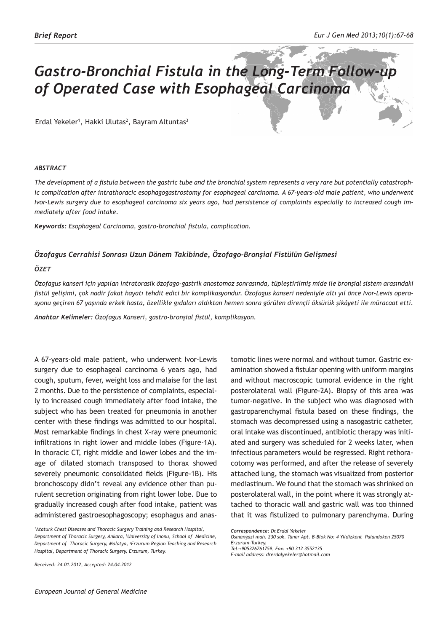# *Gastro-Bronchial Fistula in the Long-Term Follow-up of Operated Case with Esophageal Carcinoma*

Erdal Yekeler<sup>1</sup>, Hakki Ulutas<sup>2</sup>, Bayram Altuntas<sup>3</sup>

## *ABSTRACT*

*The development of a fistula between the gastric tube and the bronchial system represents a very rare but potentially catastrophic complication after intrathoracic esophagogastrostomy for esophageal carcinoma. A 67-years-old male patient, who underwent Ivor-Lewis surgery due to esophageal carcinoma six years ago, had persistence of complaints especially to increased cough immediately after food intake.* 

*Keywords: Esophageal Carcinoma, gastro-bronchial fistula, complication.*

# *Özofagus Cerrahisi Sonrası Uzun Dönem Takibinde, Özofago-Bronşial Fistülün Gelişmesi*

## *ÖZET*

*Özofagus kanseri için yapılan intratorasik özofago-gastrik anostomoz sonrasında, tüpleştirilmiş mide ile bronşial sistem arasındaki fistül gelişimi, çok nadir fakat hayatı tehdit edici bir komplikasyondur. Özofagus kanseri nedeniyle altı yıl önce Ivor-Lewis operasyonu geçiren 67 yaşında erkek hasta, özellikle gıdaları aldıktan hemen sonra görülen dirençli öksürük şikâyeti ile müracaat etti.* 

*Anahtar Kelimeler: Özofagus Kanseri, gastro-bronşial fistül, komplikasyon.*

A 67-years-old male patient, who underwent Ivor-Lewis surgery due to esophageal carcinoma 6 years ago, had cough, sputum, fever, weight loss and malaise for the last 2 months. Due to the persistence of complaints, especially to increased cough immediately after food intake, the subject who has been treated for pneumonia in another center with these findings was admitted to our hospital. Most remarkable findings in chest X-ray were pneumonic infiltrations in right lower and middle lobes (Figure-1A). In thoracic CT, right middle and lower lobes and the image of dilated stomach transposed to thorax showed severely pneumonic consolidated fields (Figure-1B). His bronchoscopy didn't reveal any evidence other than purulent secretion originating from right lower lobe. Due to gradually increased cough after food intake, patient was administered gastroesophagoscopy; esophagus and anas-

*Received: 24.01.2012, Accepted: 24.04.2012*

tomotic lines were normal and without tumor. Gastric examination showed a fistular opening with uniform margins and without macroscopic tumoral evidence in the right posterolateral wall (Figure-2A). Biopsy of this area was tumor-negative. In the subject who was diagnosed with gastroparenchymal fistula based on these findings, the stomach was decompressed using a nasogastric catheter, oral intake was discontinued, antibiotic therapy was initiated and surgery was scheduled for 2 weeks later, when infectious parameters would be regressed. Right rethoracotomy was performed, and after the release of severely attached lung, the stomach was visualized from posterior mediastinum. We found that the stomach was shrinked on posterolateral wall, in the point where it was strongly attached to thoracic wall and gastric wall was too thinned that it was fistulized to pulmonary parenchyma. During

*E-mail address: drerdalyekeler@hotmail.com*

*<sup>1</sup> Ataturk Chest Diseases and Thoracic Surgery Training and Research Hospital, Department of Thoracic Surgery, Ankara, <sup>2</sup> University of Inonu, School of Medicine, Department of Thoracic Surgery, Malatya, <sup>3</sup> Erzurum Region Teaching and Research Hospital, Department of Thoracic Surgery, Erzurum, Turkey.*

*Correspondence: Dr.Erdal Yekeler Osmangazi mah. 230 sok. Taner Apt. B-Blok No: 4 Yildizkent Palandoken 25070 Erzurum-Turkey. Tel:+905326761759, Fax: +90 312 3552135*